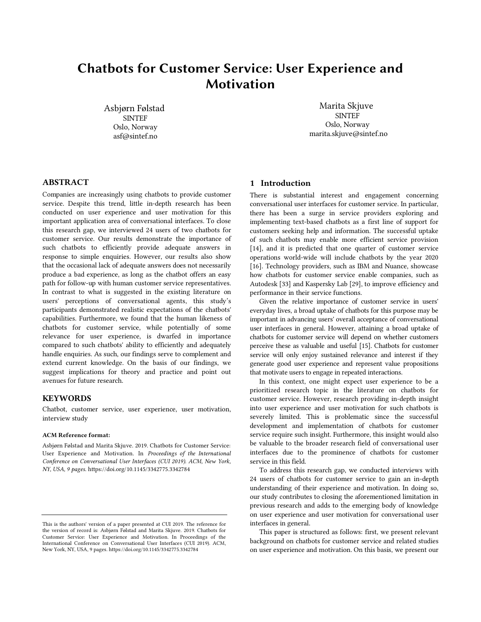# Chatbots for Customer Service: User Experience and Motivation

Asbjørn Følstad SINTEF Oslo, Norway asf@sintef.no

Marita Skjuve SINTEF Oslo, Norway marita.skjuve@sintef.no

# ABSTRACT

Companies are increasingly using chatbots to provide customer service. Despite this trend, little in-depth research has been conducted on user experience and user motivation for this important application area of conversational interfaces. To close this research gap, we interviewed 24 users of two chatbots for customer service. Our results demonstrate the importance of such chatbots to efficiently provide adequate answers in response to simple enquiries. However, our results also show that the occasional lack of adequate answers does not necessarily produce a bad experience, as long as the chatbot offers an easy path for follow-up with human customer service representatives. In contrast to what is suggested in the existing literature on users' perceptions of conversational agents, this study's participants demonstrated realistic expectations of the chatbots' capabilities. Furthermore, we found that the human likeness of chatbots for customer service, while potentially of some relevance for user experience, is dwarfed in importance compared to such chatbots' ability to efficiently and adequately handle enquiries. As such, our findings serve to complement and extend current knowledge. On the basis of our findings, we suggest implications for theory and practice and point out avenues for future research.

#### **KEYWORDS**

Chatbot, customer service, user experience, user motivation, interview study

#### ACM Reference format:

Asbjørn Følstad and Marita Skjuve. 2019. Chatbots for Customer Service: User Experience and Motivation. In *Proceedings of the International Conference on Conversational User Interfaces (CUI 2019). ACM, New York, NY, USA, 9 pages.* https://doi.org/10.1145/3342775.3342784

# 1 Introduction

There is substantial interest and engagement concerning conversational user interfaces for customer service. In particular, there has been a surge in service providers exploring and implementing text-based chatbots as a first line of support for customers seeking help and information. The successful uptake of such chatbots may enable more efficient service provision [14], and it is predicted that one quarter of customer service operations world-wide will include chatbots by the year 2020 [16]. Technology providers, such as IBM and Nuance, showcase how chatbots for customer service enable companies, such as Autodesk [33] and Kaspersky Lab [29], to improve efficiency and performance in their service functions.

Given the relative importance of customer service in users' everyday lives, a broad uptake of chatbots for this purpose may be important in advancing users' overall acceptance of conversational user interfaces in general. However, attaining a broad uptake of chatbots for customer service will depend on whether customers perceive these as valuable and useful [15]. Chatbots for customer service will only enjoy sustained relevance and interest if they generate good user experience and represent value propositions that motivate users to engage in repeated interactions.

In this context, one might expect user experience to be a prioritized research topic in the literature on chatbots for customer service. However, research providing in-depth insight into user experience and user motivation for such chatbots is severely limited. This is problematic since the successful development and implementation of chatbots for customer service require such insight. Furthermore, this insight would also be valuable to the broader research field of conversational user interfaces due to the prominence of chatbots for customer service in this field.

To address this research gap, we conducted interviews with 24 users of chatbots for customer service to gain an in-depth understanding of their experience and motivation. In doing so, our study contributes to closing the aforementioned limitation in previous research and adds to the emerging body of knowledge on user experience and user motivation for conversational user interfaces in general.

This paper is structured as follows: first, we present relevant background on chatbots for customer service and related studies on user experience and motivation. On this basis, we present our

This is the authors' version of a paper presented at CUI 2019. The reference for the version of record is: Asbjørn Følstad and Marita Skjuve. 2019. Chatbots for Customer Service: User Experience and Motivation. In Proceedings of the International Conference on Conversational User Interfaces (CUI 2019). ACM, New York, NY, USA, 9 pages. https://doi.org/10.1145/3342775.3342784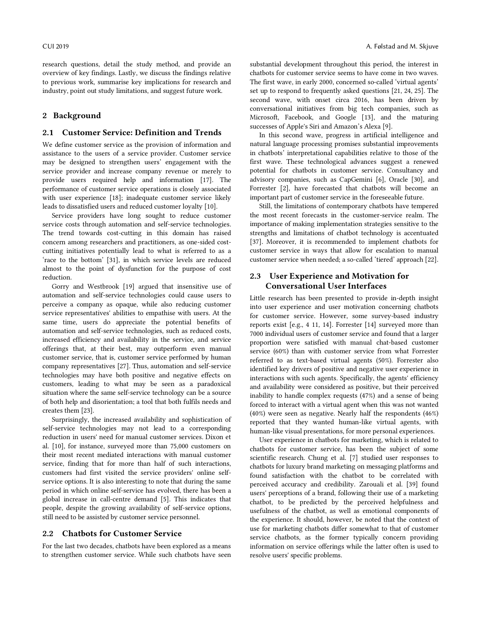research questions, detail the study method, and provide an overview of key findings. Lastly, we discuss the findings relative to previous work, summarise key implications for research and industry, point out study limitations, and suggest future work.

# 2 Background

#### 2.1 Customer Service: Definition and Trends

We define customer service as the provision of information and assistance to the users of a service provider. Customer service may be designed to strengthen users' engagement with the service provider and increase company revenue or merely to provide users required help and information [17]. The performance of customer service operations is closely associated with user experience [18]; inadequate customer service likely leads to dissatisfied users and reduced customer loyalty [10].

Service providers have long sought to reduce customer service costs through automation and self-service technologies. The trend towards cost-cutting in this domain has raised concern among researchers and practitioners, as one-sided costcutting initiatives potentially lead to what is referred to as a 'race to the bottom' [31], in which service levels are reduced almost to the point of dysfunction for the purpose of cost reduction.

Gorry and Westbrook [19] argued that insensitive use of automation and self-service technologies could cause users to perceive a company as opaque, while also reducing customer service representatives' abilities to empathise with users. At the same time, users do appreciate the potential benefits of automation and self-service technologies, such as reduced costs, increased efficiency and availability in the service, and service offerings that, at their best, may outperform even manual customer service, that is, customer service performed by human company representatives [27]. Thus, automation and self-service technologies may have both positive and negative effects on customers, leading to what may be seen as a paradoxical situation where the same self-service technology can be a source of both help and disorientation; a tool that both fulfils needs and creates them [23].

Surprisingly, the increased availability and sophistication of self-service technologies may not lead to a corresponding reduction in users' need for manual customer services. Dixon et al. [10], for instance, surveyed more than 75,000 customers on their most recent mediated interactions with manual customer service, finding that for more than half of such interactions, customers had first visited the service providers' online selfservice options. It is also interesting to note that during the same period in which online self-service has evolved, there has been a global increase in call-centre demand [5]. This indicates that people, despite the growing availability of self-service options, still need to be assisted by customer service personnel.

#### 2.2 Chatbots for Customer Service

For the last two decades, chatbots have been explored as a means to strengthen customer service. While such chatbots have seen substantial development throughout this period, the interest in chatbots for customer service seems to have come in two waves. The first wave, in early 2000, concerned so-called 'virtual agents' set up to respond to frequently asked questions [21, 24, 25]. The second wave, with onset circa 2016, has been driven by conversational initiatives from big tech companies, such as Microsoft, Facebook, and Google [13], and the maturing successes of Apple's Siri and Amazon's Alexa [9].

In this second wave, progress in artificial intelligence and natural language processing promises substantial improvements in chatbots' interpretational capabilities relative to those of the first wave. These technological advances suggest a renewed potential for chatbots in customer service. Consultancy and advisory companies, such as CapGemini [6], Oracle [30], and Forrester [2], have forecasted that chatbots will become an important part of customer service in the foreseeable future.

Still, the limitations of contemporary chatbots have tempered the most recent forecasts in the customer-service realm. The importance of making implementation strategies sensitive to the strengths and limitations of chatbot technology is accentuated [37]. Moreover, it is recommended to implement chatbots for customer service in ways that allow for escalation to manual customer service when needed; a so-called 'tiered' approach [22].

# 2.3 User Experience and Motivation for Conversational User Interfaces

Little research has been presented to provide in-depth insight into user experience and user motivation concerning chatbots for customer service. However, some survey-based industry reports exist [e.g., 4 11, 14]. Forrester [14] surveyed more than 7000 individual users of customer service and found that a larger proportion were satisfied with manual chat-based customer service (60%) than with customer service from what Forrester referred to as text-based virtual agents (50%). Forrester also identified key drivers of positive and negative user experience in interactions with such agents. Specifically, the agents' efficiency and availability were considered as positive, but their perceived inability to handle complex requests (47%) and a sense of being forced to interact with a virtual agent when this was not wanted (40%) were seen as negative. Nearly half the respondents (46%) reported that they wanted human-like virtual agents, with human-like visual presentations, for more personal experiences.

User experience in chatbots for marketing, which is related to chatbots for customer service, has been the subject of some scientific research. Chung et al. [7] studied user responses to chatbots for luxury brand marketing on messaging platforms and found satisfaction with the chatbot to be correlated with perceived accuracy and credibility. Zarouali et al. [39] found users' perceptions of a brand, following their use of a marketing chatbot, to be predicted by the perceived helpfulness and usefulness of the chatbot, as well as emotional components of the experience. It should, however, be noted that the context of use for marketing chatbots differ somewhat to that of customer service chatbots, as the former typically concern providing information on service offerings while the latter often is used to resolve users' specific problems.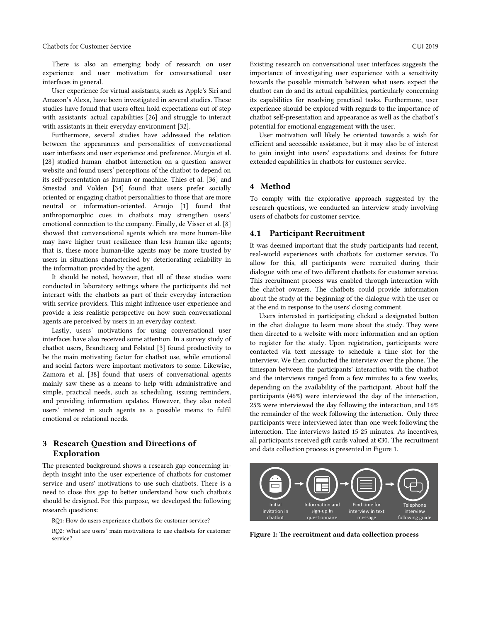Chatbots for Customer Service CUI 2019

There is also an emerging body of research on user experience and user motivation for conversational user interfaces in general.

User experience for virtual assistants, such as Apple's Siri and Amazon's Alexa, have been investigated in several studies. These studies have found that users often hold expectations out of step with assistants' actual capabilities [26] and struggle to interact with assistants in their everyday environment [32].

Furthermore, several studies have addressed the relation between the appearances and personalities of conversational user interfaces and user experience and preference. Murgia et al. [28] studied human–chatbot interaction on a question–answer website and found users' perceptions of the chatbot to depend on its self-presentation as human or machine. Thies et al. [36] and Smestad and Volden [34] found that users prefer socially oriented or engaging chatbot personalities to those that are more neutral or information-oriented. Araujo [1] found that anthropomorphic cues in chatbots may strengthen users' emotional connection to the company. Finally, de Visser et al. [8] showed that conversational agents which are more human-like may have higher trust resilience than less human-like agents; that is, these more human-like agents may be more trusted by users in situations characterised by deteriorating reliability in the information provided by the agent.

It should be noted, however, that all of these studies were conducted in laboratory settings where the participants did not interact with the chatbots as part of their everyday interaction with service providers. This might influence user experience and provide a less realistic perspective on how such conversational agents are perceived by users in an everyday context.

Lastly, users' motivations for using conversational user interfaces have also received some attention. In a survey study of chatbot users, Brandtzaeg and Følstad [3] found productivity to be the main motivating factor for chatbot use, while emotional and social factors were important motivators to some. Likewise, Zamora et al. [38] found that users of conversational agents mainly saw these as a means to help with administrative and simple, practical needs, such as scheduling, issuing reminders, and providing information updates. However, they also noted users' interest in such agents as a possible means to fulfil emotional or relational needs.

# 3 Research Question and Directions of Exploration

The presented background shows a research gap concerning indepth insight into the user experience of chatbots for customer service and users' motivations to use such chatbots. There is a need to close this gap to better understand how such chatbots should be designed. For this purpose, we developed the following research questions:

RQ1: How do users experience chatbots for customer service?

RQ2: What are users' main motivations to use chatbots for customer service?

Existing research on conversational user interfaces suggests the importance of investigating user experience with a sensitivity towards the possible mismatch between what users expect the chatbot can do and its actual capabilities, particularly concerning its capabilities for resolving practical tasks. Furthermore, user experience should be explored with regards to the importance of chatbot self-presentation and appearance as well as the chatbot's potential for emotional engagement with the user.

User motivation will likely be oriented towards a wish for efficient and accessible assistance, but it may also be of interest to gain insight into users' expectations and desires for future extended capabilities in chatbots for customer service.

#### 4 Method

To comply with the explorative approach suggested by the research questions, we conducted an interview study involving users of chatbots for customer service.

#### 4.1 Participant Recruitment

It was deemed important that the study participants had recent, real-world experiences with chatbots for customer service. To allow for this, all participants were recruited during their dialogue with one of two different chatbots for customer service. This recruitment process was enabled through interaction with the chatbot owners. The chatbots could provide information about the study at the beginning of the dialogue with the user or at the end in response to the users' closing comment.

Users interested in participating clicked a designated button in the chat dialogue to learn more about the study. They were then directed to a website with more information and an option to register for the study. Upon registration, participants were contacted via text message to schedule a time slot for the interview. We then conducted the interview over the phone. The timespan between the participants' interaction with the chatbot and the interviews ranged from a few minutes to a few weeks, depending on the availability of the participant. About half the participants (46%) were interviewed the day of the interaction, 25% were interviewed the day following the interaction, and 16% the remainder of the week following the interaction. Only three participants were interviewed later than one week following the interaction. The interviews lasted 15-25 minutes. As incentives, all participants received gift cards valued at €30. The recruitment and data collection process is presented in Figure 1.



Figure 1: The recruitment and data collection process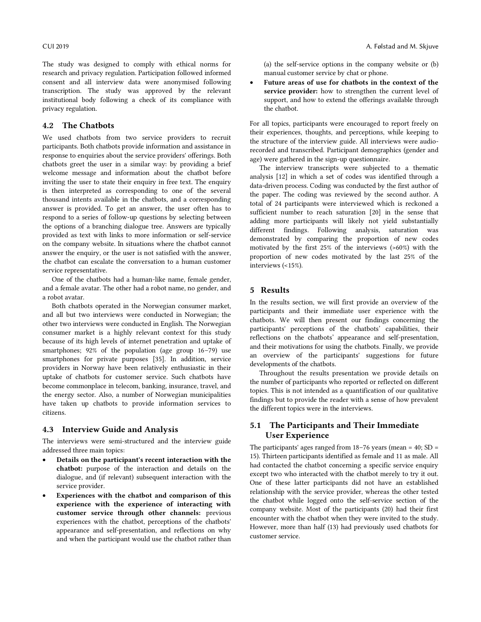The study was designed to comply with ethical norms for research and privacy regulation. Participation followed informed consent and all interview data were anonymised following transcription. The study was approved by the relevant institutional body following a check of its compliance with privacy regulation.

# 4.2 The Chatbots

We used chatbots from two service providers to recruit participants. Both chatbots provide information and assistance in response to enquiries about the service providers' offerings. Both chatbots greet the user in a similar way: by providing a brief welcome message and information about the chatbot before inviting the user to state their enquiry in free text. The enquiry is then interpreted as corresponding to one of the several thousand intents available in the chatbots, and a corresponding answer is provided. To get an answer, the user often has to respond to a series of follow-up questions by selecting between the options of a branching dialogue tree. Answers are typically provided as text with links to more information or self-service on the company website. In situations where the chatbot cannot answer the enquiry, or the user is not satisfied with the answer, the chatbot can escalate the conversation to a human customer service representative.

One of the chatbots had a human-like name, female gender, and a female avatar. The other had a robot name, no gender, and a robot avatar.

Both chatbots operated in the Norwegian consumer market, and all but two interviews were conducted in Norwegian; the other two interviews were conducted in English. The Norwegian consumer market is a highly relevant context for this study because of its high levels of internet penetration and uptake of smartphones; 92% of the population (age group 16–79) use smartphones for private purposes [35]. In addition, service providers in Norway have been relatively enthusiastic in their uptake of chatbots for customer service. Such chatbots have become commonplace in telecom, banking, insurance, travel, and the energy sector. Also, a number of Norwegian municipalities have taken up chatbots to provide information services to citizens.

#### 4.3 Interview Guide and Analysis

The interviews were semi-structured and the interview guide addressed three main topics:

- Details on the participant's recent interaction with the chatbot: purpose of the interaction and details on the dialogue, and (if relevant) subsequent interaction with the service provider.
- Experiences with the chatbot and comparison of this experience with the experience of interacting with customer service through other channels: previous experiences with the chatbot, perceptions of the chatbots' appearance and self-presentation, and reflections on why and when the participant would use the chatbot rather than

(a) the self-service options in the company website or (b) manual customer service by chat or phone.

Future areas of use for chatbots in the context of the service provider: how to strengthen the current level of support, and how to extend the offerings available through the chatbot.

For all topics, participants were encouraged to report freely on their experiences, thoughts, and perceptions, while keeping to the structure of the interview guide. All interviews were audiorecorded and transcribed. Participant demographics (gender and age) were gathered in the sign-up questionnaire.

The interview transcripts were subjected to a thematic analysis [12] in which a set of codes was identified through a data-driven process. Coding was conducted by the first author of the paper. The coding was reviewed by the second author. A total of 24 participants were interviewed which is reckoned a sufficient number to reach saturation [20] in the sense that adding more participants will likely not yield substantially different findings. Following analysis, saturation was demonstrated by comparing the proportion of new codes motivated by the first 25% of the interviews (>60%) with the proportion of new codes motivated by the last 25% of the interviews (<15%).

#### 5 Results

In the results section, we will first provide an overview of the participants and their immediate user experience with the chatbots. We will then present our findings concerning the participants' perceptions of the chatbots' capabilities, their reflections on the chatbots' appearance and self-presentation, and their motivations for using the chatbots. Finally, we provide an overview of the participants' suggestions for future developments of the chatbots.

Throughout the results presentation we provide details on the number of participants who reported or reflected on different topics. This is not intended as a quantification of our qualitative findings but to provide the reader with a sense of how prevalent the different topics were in the interviews.

# 5.1 The Participants and Their Immediate User Experience

The participants' ages ranged from  $18-76$  years (mean =  $40$ ; SD = 15). Thirteen participants identified as female and 11 as male. All had contacted the chatbot concerning a specific service enquiry except two who interacted with the chatbot merely to try it out. One of these latter participants did not have an established relationship with the service provider, whereas the other tested the chatbot while logged onto the self-service section of the company website. Most of the participants (20) had their first encounter with the chatbot when they were invited to the study. However, more than half (13) had previously used chatbots for customer service.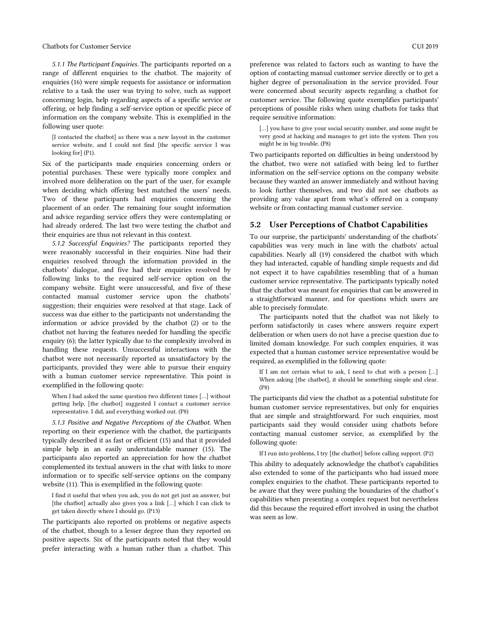*5.1.1 The Participant Enquiries.* The participants reported on a range of different enquiries to the chatbot. The majority of enquiries (16) were simple requests for assistance or information relative to a task the user was trying to solve, such as support concerning login, help regarding aspects of a specific service or offering, or help finding a self-service option or specific piece of information on the company website. This is exemplified in the following user quote:

[I contacted the chatbot] as there was a new layout in the customer service website, and I could not find [the specific service I was looking for] (P1).

Six of the participants made enquiries concerning orders or potential purchases. These were typically more complex and involved more deliberation on the part of the user, for example when deciding which offering best matched the users' needs. Two of these participants had enquiries concerning the placement of an order. The remaining four sought information and advice regarding service offers they were contemplating or had already ordered. The last two were testing the chatbot and their enquiries are thus not relevant in this context.

*5.1.2 Successful Enquiries?* The participants reported they were reasonably successful in their enquiries. Nine had their enquiries resolved through the information provided in the chatbots' dialogue, and five had their enquiries resolved by following links to the required self-service option on the company website. Eight were unsuccessful, and five of these contacted manual customer service upon the chatbots' suggestion; their enquiries were resolved at that stage. Lack of success was due either to the participants not understanding the information or advice provided by the chatbot (2) or to the chatbot not having the features needed for handling the specific enquiry (6); the latter typically due to the complexity involved in handling these requests. Unsuccessful interactions with the chatbot were not necessarily reported as unsatisfactory by the participants, provided they were able to pursue their enquiry with a human customer service representative. This point is exemplified in the following quote:

When I had asked the same question two different times […] without getting help, [the chatbot] suggested I contact a customer service representative. I did, and everything worked out. (P8)

*5.1.3 Positive and Negative Perceptions of the Chatbot.* When reporting on their experience with the chatbot, the participants typically described it as fast or efficient (15) and that it provided simple help in an easily understandable manner (15). The participants also reported an appreciation for how the chatbot complemented its textual answers in the chat with links to more information or to specific self-service options on the company website (11). This is exemplified in the following quote:

I find it useful that when you ask, you do not get just an answer, but [the chatbot] actually also gives you a link […] which I can click to get taken directly where I should go. (P13)

The participants also reported on problems or negative aspects of the chatbot, though to a lesser degree than they reported on positive aspects. Six of the participants noted that they would prefer interacting with a human rather than a chatbot. This

preference was related to factors such as wanting to have the option of contacting manual customer service directly or to get a higher degree of personalisation in the service provided. Four were concerned about security aspects regarding a chatbot for customer service. The following quote exemplifies participants' perceptions of possible risks when using chatbots for tasks that require sensitive information:

[...] you have to give your social security number, and some might be very good at hacking and manages to get into the system. Then you might be in big trouble. (P8)

Two participants reported on difficulties in being understood by the chatbot, two were not satisfied with being led to further information on the self-service options on the company website because they wanted an answer immediately and without having to look further themselves, and two did not see chatbots as providing any value apart from what's offered on a company website or from contacting manual customer service.

# 5.2 User Perceptions of Chatbot Capabilities

To our surprise, the participants' understanding of the chatbots' capabilities was very much in line with the chatbots' actual capabilities. Nearly all (19) considered the chatbot with which they had interacted, capable of handling simple requests and did not expect it to have capabilities resembling that of a human customer service representative. The participants typically noted that the chatbot was meant for enquiries that can be answered in a straightforward manner, and for questions which users are able to precisely formulate.

The participants noted that the chatbot was not likely to perform satisfactorily in cases where answers require expert deliberation or when users do not have a precise question due to limited domain knowledge. For such complex enquiries, it was expected that a human customer service representative would be required, as exemplified in the following quote:

If I am not certain what to ask, I need to chat with a person […] When asking [the chatbot], it should be something simple and clear. (P8)

The participants did view the chatbot as a potential substitute for human customer service representatives, but only for enquiries that are simple and straightforward. For such enquiries, most participants said they would consider using chatbots before contacting manual customer service, as exemplified by the following quote:

If I run into problems, I try [the chatbot] before calling support. (P2)

This ability to adequately acknowledge the chatbot's capabilities also extended to some of the participants who had issued more complex enquiries to the chatbot. These participants reported to be aware that they were pushing the boundaries of the chatbot's capabilities when presenting a complex request but nevertheless did this because the required effort involved in using the chatbot was seen as low.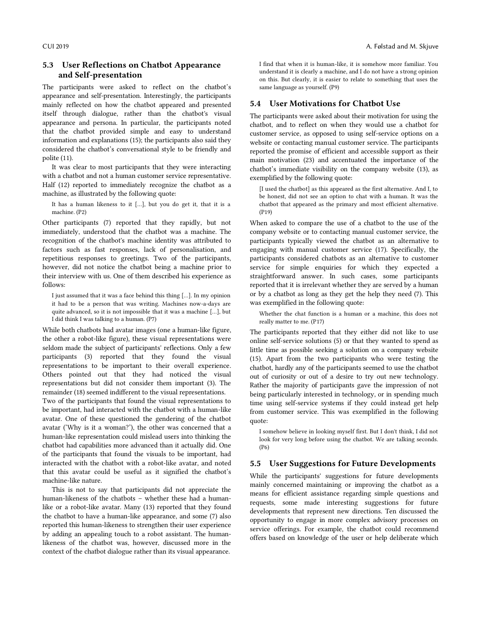# 5.3 User Reflections on Chatbot Appearance and Self-presentation

The participants were asked to reflect on the chatbot's appearance and self-presentation. Interestingly, the participants mainly reflected on how the chatbot appeared and presented itself through dialogue, rather than the chatbot's visual appearance and persona. In particular, the participants noted that the chatbot provided simple and easy to understand information and explanations (15); the participants also said they considered the chatbot's conversational style to be friendly and polite (11).

It was clear to most participants that they were interacting with a chatbot and not a human customer service representative. Half (12) reported to immediately recognize the chatbot as a machine, as illustrated by the following quote:

It has a human likeness to it […], but you do get it, that it is a machine. (P2)

Other participants (7) reported that they rapidly, but not immediately, understood that the chatbot was a machine. The recognition of the chatbot's machine identity was attributed to factors such as fast responses, lack of personalisation, and repetitious responses to greetings. Two of the participants, however, did not notice the chatbot being a machine prior to their interview with us. One of them described his experience as follows:

I just assumed that it was a face behind this thing […]. In my opinion it had to be a person that was writing. Machines now-a-days are quite advanced, so it is not impossible that it was a machine […], but I did think I was talking to a human. (P7)

While both chatbots had avatar images (one a human-like figure, the other a robot-like figure), these visual representations were seldom made the subject of participants' reflections. Only a few participants (3) reported that they found the visual representations to be important to their overall experience. Others pointed out that they had noticed the visual representations but did not consider them important (3). The remainder (18) seemed indifferent to the visual representations.

Two of the participants that found the visual representations to be important, had interacted with the chatbot with a human-like avatar. One of these questioned the gendering of the chatbot avatar ('Why is it a woman?'), the other was concerned that a human-like representation could mislead users into thinking the chatbot had capabilities more advanced than it actually did. One of the participants that found the visuals to be important, had interacted with the chatbot with a robot-like avatar, and noted that this avatar could be useful as it signified the chatbot's machine-like nature.

This is not to say that participants did not appreciate the human-likeness of the chatbots – whether these had a humanlike or a robot-like avatar. Many (13) reported that they found the chatbot to have a human-like appearance, and some (7) also reported this human-likeness to strengthen their user experience by adding an appealing touch to a robot assistant. The humanlikeness of the chatbot was, however, discussed more in the context of the chatbot dialogue rather than its visual appearance.

I find that when it is human-like, it is somehow more familiar. You understand it is clearly a machine, and I do not have a strong opinion on this. But clearly, it is easier to relate to something that uses the same language as yourself. (P9)

### 5.4 User Motivations for Chatbot Use

The participants were asked about their motivation for using the chatbot, and to reflect on when they would use a chatbot for customer service, as opposed to using self-service options on a website or contacting manual customer service. The participants reported the promise of efficient and accessible support as their main motivation (23) and accentuated the importance of the chatbot's immediate visibility on the company website (13), as exemplified by the following quote:

[I used the chatbot] as this appeared as the first alternative. And I, to be honest, did not see an option to chat with a human. It was the chatbot that appeared as the primary and most efficient alternative. (P19)

When asked to compare the use of a chatbot to the use of the company website or to contacting manual customer service, the participants typically viewed the chatbot as an alternative to engaging with manual customer service (17). Specifically, the participants considered chatbots as an alternative to customer service for simple enquiries for which they expected a straightforward answer. In such cases, some participants reported that it is irrelevant whether they are served by a human or by a chatbot as long as they get the help they need (7). This was exemplified in the following quote:

Whether the chat function is a human or a machine, this does not really matter to me. (P17)

The participants reported that they either did not like to use online self-service solutions (5) or that they wanted to spend as little time as possible seeking a solution on a company website (15). Apart from the two participants who were testing the chatbot, hardly any of the participants seemed to use the chatbot out of curiosity or out of a desire to try out new technology. Rather the majority of participants gave the impression of not being particularly interested in technology, or in spending much time using self-service systems if they could instead get help from customer service. This was exemplified in the following quote:

I somehow believe in looking myself first. But I don't think, I did not look for very long before using the chatbot. We are talking seconds. (P6)

### 5.5 User Suggestions for Future Developments

While the participants' suggestions for future developments mainly concerned maintaining or improving the chatbot as a means for efficient assistance regarding simple questions and requests, some made interesting suggestions for future developments that represent new directions. Ten discussed the opportunity to engage in more complex advisory processes on service offerings. For example, the chatbot could recommend offers based on knowledge of the user or help deliberate which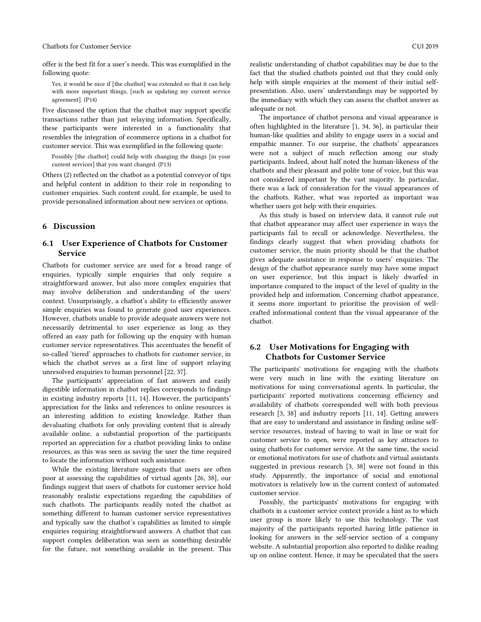Chatbots for Customer Service CUI 2019

offer is the best fit for a user's needs. This was exemplified in the following quote:

Yes, it would be nice if [the chatbot] was extended so that it can help with more important things, [such as updating my current service agreement]. (P14)

Five discussed the option that the chatbot may support specific transactions rather than just relaying information. Specifically, these participants were interested in a functionality that resembles the integration of ecommerce options in a chatbot for customer service. This was exemplified in the following quote:

Possibly [the chatbot] could help with changing the things [in your current services] that you want changed. (P13)

Others (2) reflected on the chatbot as a potential conveyor of tips and helpful content in addition to their role in responding to customer enquiries. Such content could, for example, be used to provide personalised information about new services or options.

# 6 Discussion

# 6.1 User Experience of Chatbots for Customer Service

Chatbots for customer service are used for a broad range of enquiries, typically simple enquiries that only require a straightforward answer, but also more complex enquiries that may involve deliberation and understanding of the users' context. Unsurprisingly, a chatbot's ability to efficiently answer simple enquiries was found to generate good user experiences. However, chatbots unable to provide adequate answers were not necessarily detrimental to user experience as long as they offered an easy path for following up the enquiry with human customer service representatives. This accentuates the benefit of so-called 'tiered' approaches to chatbots for customer service, in which the chatbot serves as a first line of support relaying unresolved enquiries to human personnel [22, 37].

The participants' appreciation of fast answers and easily digestible information in chatbot replies corresponds to findings in existing industry reports [11, 14]. However, the participants' appreciation for the links and references to online resources is an interesting addition to existing knowledge. Rather than devaluating chatbots for only providing content that is already available online, a substantial proportion of the participants reported an appreciation for a chatbot providing links to online resources, as this was seen as saving the user the time required to locate the information without such assistance.

While the existing literature suggests that users are often poor at assessing the capabilities of virtual agents [26, 38], our findings suggest that users of chatbots for customer service hold reasonably realistic expectations regarding the capabilities of such chatbots. The participants readily noted the chatbot as something different to human customer service representatives and typically saw the chatbot's capabilities as limited to simple enquiries requiring straightforward answers. A chatbot that can support complex deliberation was seen as something desirable for the future, not something available in the present. This

realistic understanding of chatbot capabilities may be due to the fact that the studied chatbots pointed out that they could only help with simple enquiries at the moment of their initial selfpresentation. Also, users' understandings may be supported by the immediacy with which they can assess the chatbot answer as adequate or not.

The importance of chatbot persona and visual appearance is often highlighted in the literature [1, 34, 36], in particular their human-like qualities and ability to engage users in a social and empathic manner. To our surprise, the chatbots' appearances were not a subject of much reflection among our study participants. Indeed, about half noted the human-likeness of the chatbots and their pleasant and polite tone of voice, but this was not considered important by the vast majority. In particular, there was a lack of consideration for the visual appearances of the chatbots. Rather, what was reported as important was whether users got help with their enquiries.

As this study is based on interview data, it cannot rule out that chatbot appearance may affect user experience in ways the participants fail to recall or acknowledge. Nevertheless, the findings clearly suggest that when providing chatbots for customer service, the main priority should be that the chatbot gives adequate assistance in response to users' enquiries. The design of the chatbot appearance surely may have some impact on user experience, but this impact is likely dwarfed in importance compared to the impact of the level of quality in the provided help and information. Concerning chatbot appearance, it seems more important to prioritise the provision of wellcrafted informational content than the visual appearance of the chatbot.

# 6.2 User Motivations for Engaging with Chatbots for Customer Service

The participants' motivations for engaging with the chatbots were very much in line with the existing literature on motivations for using conversational agents. In particular, the participants' reported motivations concerning efficiency and availability of chatbots corresponded well with both previous research [3, 38] and industry reports [11, 14]. Getting answers that are easy to understand and assistance in finding online selfservice resources, instead of having to wait in line or wait for customer service to open, were reported as key attractors to using chatbots for customer service. At the same time, the social or emotional motivators for use of chatbots and virtual assistants suggested in previous research [3, 38] were not found in this study. Apparently, the importance of social and emotional motivators is relatively low in the current context of automated customer service.

Possibly, the participants' motivations for engaging with chatbots in a customer service context provide a hint as to which user group is more likely to use this technology. The vast majority of the participants reported having little patience in looking for answers in the self-service section of a company website. A substantial proportion also reported to dislike reading up on online content. Hence, it may be speculated that the users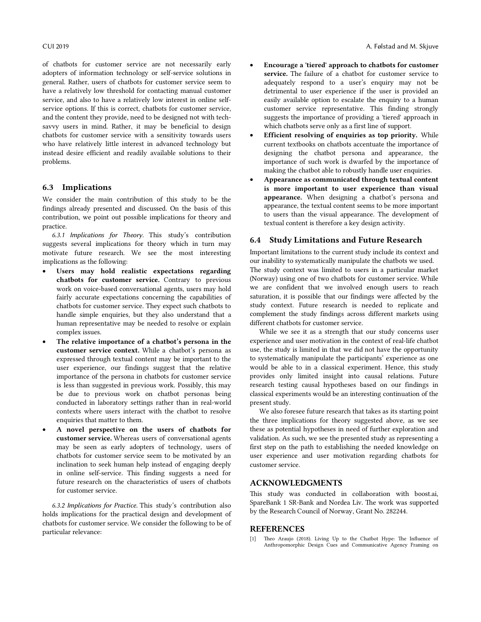of chatbots for customer service are not necessarily early adopters of information technology or self-service solutions in general. Rather, users of chatbots for customer service seem to have a relatively low threshold for contacting manual customer service, and also to have a relatively low interest in online selfservice options. If this is correct, chatbots for customer service, and the content they provide, need to be designed not with techsavvy users in mind. Rather, it may be beneficial to design chatbots for customer service with a sensitivity towards users who have relatively little interest in advanced technology but instead desire efficient and readily available solutions to their problems.

#### 6.3 Implications

We consider the main contribution of this study to be the findings already presented and discussed. On the basis of this contribution, we point out possible implications for theory and practice.

*6.3.1 Implications for Theory.* This study's contribution suggests several implications for theory which in turn may motivate future research. We see the most interesting implications as the following:

- Users may hold realistic expectations regarding chatbots for customer service. Contrary to previous work on voice-based conversational agents, users may hold fairly accurate expectations concerning the capabilities of chatbots for customer service. They expect such chatbots to handle simple enquiries, but they also understand that a human representative may be needed to resolve or explain complex issues.
- The relative importance of a chatbot's persona in the customer service context. While a chatbot's persona as expressed through textual content may be important to the user experience, our findings suggest that the relative importance of the persona in chatbots for customer service is less than suggested in previous work. Possibly, this may be due to previous work on chatbot personas being conducted in laboratory settings rather than in real-world contexts where users interact with the chatbot to resolve enquiries that matter to them.
- A novel perspective on the users of chatbots for customer service. Whereas users of conversational agents may be seen as early adopters of technology, users of chatbots for customer service seem to be motivated by an inclination to seek human help instead of engaging deeply in online self-service. This finding suggests a need for future research on the characteristics of users of chatbots for customer service.

*6.3.2 Implications for Practice.* This study's contribution also holds implications for the practical design and development of chatbots for customer service. We consider the following to be of particular relevance:

- Encourage a 'tiered' approach to chatbots for customer service. The failure of a chatbot for customer service to adequately respond to a user's enquiry may not be detrimental to user experience if the user is provided an easily available option to escalate the enquiry to a human customer service representative. This finding strongly suggests the importance of providing a 'tiered' approach in which chatbots serve only as a first line of support.
- Efficient resolving of enquiries as top priority. While current textbooks on chatbots accentuate the importance of designing the chatbot persona and appearance, the importance of such work is dwarfed by the importance of making the chatbot able to robustly handle user enquiries.
- Appearance as communicated through textual content is more important to user experience than visual appearance. When designing a chatbot's persona and appearance, the textual content seems to be more important to users than the visual appearance. The development of textual content is therefore a key design activity.

#### 6.4 Study Limitations and Future Research

Important limitations to the current study include its context and our inability to systematically manipulate the chatbots we used. The study context was limited to users in a particular market (Norway) using one of two chatbots for customer service. While we are confident that we involved enough users to reach saturation, it is possible that our findings were affected by the study context. Future research is needed to replicate and complement the study findings across different markets using different chatbots for customer service.

While we see it as a strength that our study concerns user experience and user motivation in the context of real-life chatbot use, the study is limited in that we did not have the opportunity to systematically manipulate the participants' experience as one would be able to in a classical experiment. Hence, this study provides only limited insight into causal relations. Future research testing causal hypotheses based on our findings in classical experiments would be an interesting continuation of the present study.

We also foresee future research that takes as its starting point the three implications for theory suggested above, as we see these as potential hypotheses in need of further exploration and validation. As such, we see the presented study as representing a first step on the path to establishing the needed knowledge on user experience and user motivation regarding chatbots for customer service.

### ACKNOWLEDGMENTS

This study was conducted in collaboration with boost.ai, SpareBank 1 SR-Bank and Nordea Liv. The work was supported by the Research Council of Norway, Grant No. 282244.

#### **REFERENCES**

[1] Theo Araujo (2018). Living Up to the Chatbot Hype: The Influence of Anthropomorphic Design Cues and Communicative Agency Framing on